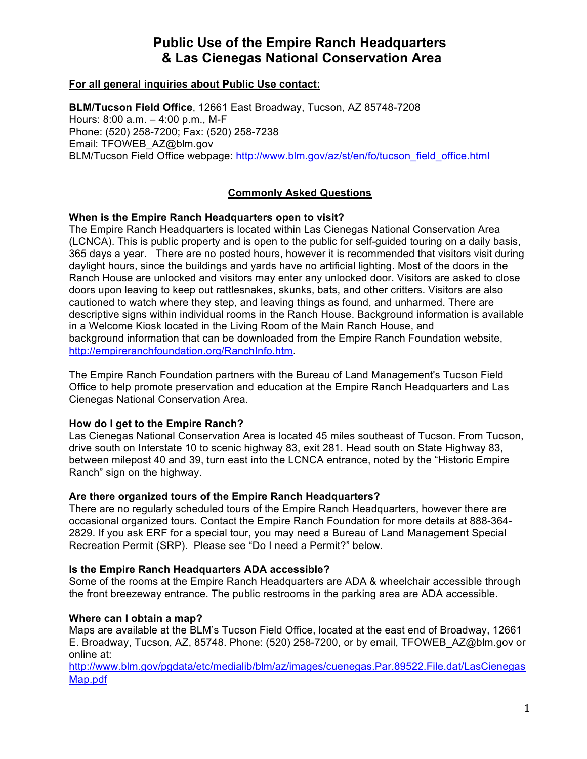# **Public Use of the Empire Ranch Headquarters & Las Cienegas National Conservation Area**

# **For all general inquiries about Public Use contact:**

**BLM/Tucson Field Office**, 12661 East Broadway, Tucson, AZ 85748-7208 Hours: 8:00 a.m. – 4:00 p.m., M-F Phone: (520) 258-7200; Fax: (520) 258-7238 Email: TFOWEB\_AZ@blm.gov BLM/Tucson Field Office webpage: http://www.blm.gov/az/st/en/fo/tucson\_field\_office.html

# **Commonly Asked Questions**

## **When is the Empire Ranch Headquarters open to visit?**

The Empire Ranch Headquarters is located within Las Cienegas National Conservation Area (LCNCA). This is public property and is open to the public for self-guided touring on a daily basis, 365 days a year. There are no posted hours, however it is recommended that visitors visit during daylight hours, since the buildings and yards have no artificial lighting. Most of the doors in the Ranch House are unlocked and visitors may enter any unlocked door. Visitors are asked to close doors upon leaving to keep out rattlesnakes, skunks, bats, and other critters. Visitors are also cautioned to watch where they step, and leaving things as found, and unharmed. There are descriptive signs within individual rooms in the Ranch House. Background information is available in a Welcome Kiosk located in the Living Room of the Main Ranch House, and background information that can be downloaded from the Empire Ranch Foundation website, http://empireranchfoundation.org/RanchInfo.htm.

The Empire Ranch Foundation partners with the Bureau of Land Management's Tucson Field Office to help promote preservation and education at the Empire Ranch Headquarters and Las Cienegas National Conservation Area.

#### **How do I get to the Empire Ranch?**

Las Cienegas National Conservation Area is located 45 miles southeast of Tucson. From Tucson, drive south on Interstate 10 to scenic highway 83, exit 281. Head south on State Highway 83, between milepost 40 and 39, turn east into the LCNCA entrance, noted by the "Historic Empire Ranch" sign on the highway.

#### **Are there organized tours of the Empire Ranch Headquarters?**

There are no regularly scheduled tours of the Empire Ranch Headquarters, however there are occasional organized tours. Contact the Empire Ranch Foundation for more details at 888-364- 2829. If you ask ERF for a special tour, you may need a Bureau of Land Management Special Recreation Permit (SRP). Please see "Do I need a Permit?" below.

#### **Is the Empire Ranch Headquarters ADA accessible?**

Some of the rooms at the Empire Ranch Headquarters are ADA & wheelchair accessible through the front breezeway entrance. The public restrooms in the parking area are ADA accessible.

#### **Where can I obtain a map?**

Maps are available at the BLM's Tucson Field Office, located at the east end of Broadway, 12661 E. Broadway, Tucson, AZ, 85748. Phone: (520) 258-7200, or by email, TFOWEB\_AZ@blm.gov or online at:

http://www.blm.gov/pgdata/etc/medialib/blm/az/images/cuenegas.Par.89522.File.dat/LasCienegas Map.pdf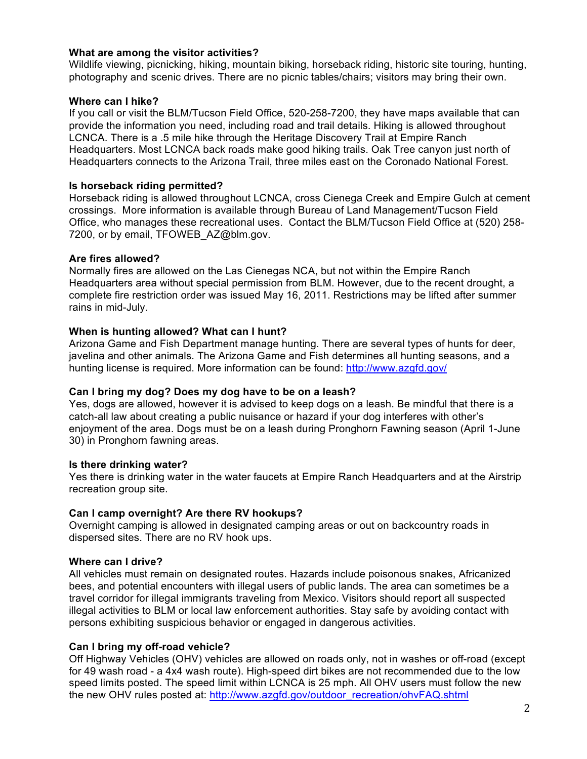## **What are among the visitor activities?**

Wildlife viewing, picnicking, hiking, mountain biking, horseback riding, historic site touring, hunting, photography and scenic drives. There are no picnic tables/chairs; visitors may bring their own.

## **Where can I hike?**

If you call or visit the BLM/Tucson Field Office, 520-258-7200, they have maps available that can provide the information you need, including road and trail details. Hiking is allowed throughout LCNCA. There is a .5 mile hike through the Heritage Discovery Trail at Empire Ranch Headquarters. Most LCNCA back roads make good hiking trails. Oak Tree canyon just north of Headquarters connects to the Arizona Trail, three miles east on the Coronado National Forest.

## **Is horseback riding permitted?**

Horseback riding is allowed throughout LCNCA, cross Cienega Creek and Empire Gulch at cement crossings. More information is available through Bureau of Land Management/Tucson Field Office, who manages these recreational uses. Contact the BLM/Tucson Field Office at (520) 258- 7200, or by email, TFOWEB\_AZ@blm.gov.

## **Are fires allowed?**

Normally fires are allowed on the Las Cienegas NCA, but not within the Empire Ranch Headquarters area without special permission from BLM. However, due to the recent drought, a complete fire restriction order was issued May 16, 2011. Restrictions may be lifted after summer rains in mid-July.

## **When is hunting allowed? What can I hunt?**

Arizona Game and Fish Department manage hunting. There are several types of hunts for deer, javelina and other animals. The Arizona Game and Fish determines all hunting seasons, and a hunting license is required. More information can be found: http://www.azgfd.gov/

# **Can I bring my dog? Does my dog have to be on a leash?**

Yes, dogs are allowed, however it is advised to keep dogs on a leash. Be mindful that there is a catch-all law about creating a public nuisance or hazard if your dog interferes with other's enjoyment of the area. Dogs must be on a leash during Pronghorn Fawning season (April 1-June 30) in Pronghorn fawning areas.

#### **Is there drinking water?**

Yes there is drinking water in the water faucets at Empire Ranch Headquarters and at the Airstrip recreation group site.

#### **Can I camp overnight? Are there RV hookups?**

Overnight camping is allowed in designated camping areas or out on backcountry roads in dispersed sites. There are no RV hook ups.

#### **Where can I drive?**

All vehicles must remain on designated routes. Hazards include poisonous snakes, Africanized bees, and potential encounters with illegal users of public lands. The area can sometimes be a travel corridor for illegal immigrants traveling from Mexico. Visitors should report all suspected illegal activities to BLM or local law enforcement authorities. Stay safe by avoiding contact with persons exhibiting suspicious behavior or engaged in dangerous activities.

# **Can I bring my off-road vehicle?**

Off Highway Vehicles (OHV) vehicles are allowed on roads only, not in washes or off-road (except for 49 wash road - a 4x4 wash route). High-speed dirt bikes are not recommended due to the low speed limits posted. The speed limit within LCNCA is 25 mph. All OHV users must follow the new the new OHV rules posted at: http://www.azgfd.gov/outdoor\_recreation/ohvFAQ.shtml